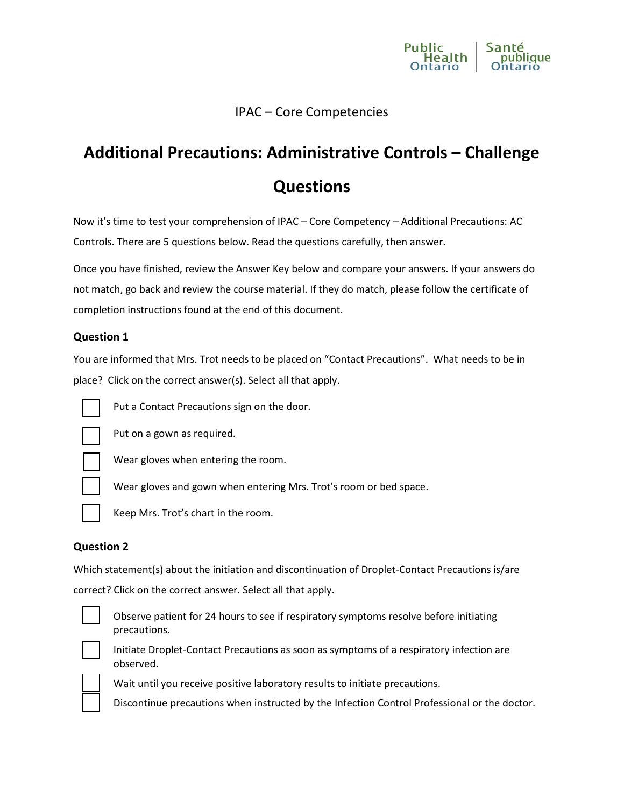

# IPAC – Core Competencies

# **Additional Precautions: Administrative Controls – Challenge Questions**

Now it's time to test your comprehension of IPAC – Core Competency – Additional Precautions: AC Controls. There are 5 questions below. Read the questions carefully, then answer.

Once you have finished, review the Answer Key below and compare your answers. If your answers do not match, go back and review the course material. If they do match, please follow the certificate of completion instructions found at the end of this document.

#### **Question 1**

You are informed that Mrs. Trot needs to be placed on "Contact Precautions". What needs to be in place? Click on the correct answer(s). Select all that apply.



Put a Contact Precautions sign on the door.



Put on a gown as required.



Wear gloves when entering the room.



Keep Mrs. Trot's chart in the room.

#### **Question 2**

Which statement(s) about the initiation and discontinuation of Droplet-Contact Precautions is/are correct? Click on the correct answer. Select all that apply.



Observe patient for 24 hours to see if respiratory symptoms resolve before initiating precautions.



Initiate Droplet-Contact Precautions as soon as symptoms of a respiratory infection are observed.



Wait until you receive positive laboratory results to initiate precautions.

Wear gloves and gown when entering Mrs. Trot's room or bed space.

Discontinue precautions when instructed by the Infection Control Professional or the doctor.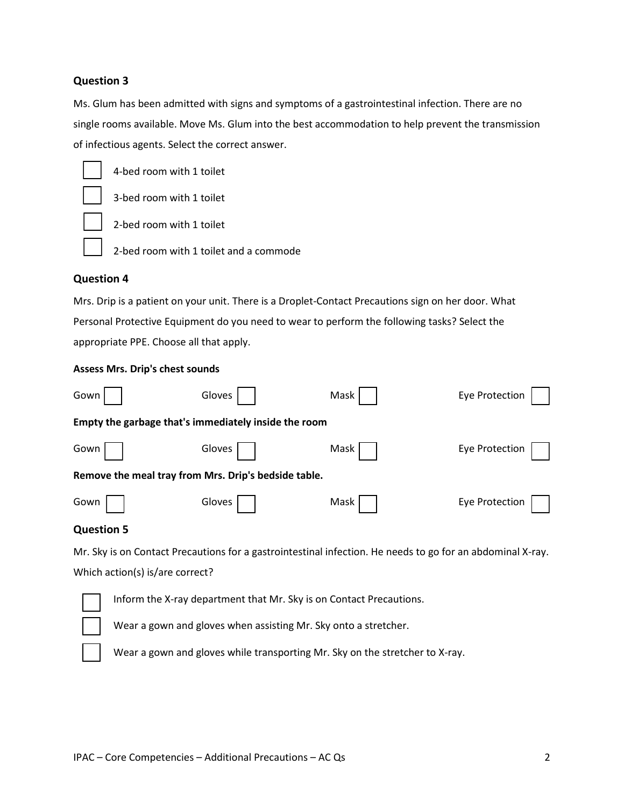## **Question 3**

Ms. Glum has been admitted with signs and symptoms of a gastrointestinal infection. There are no single rooms available. Move Ms. Glum into the best accommodation to help prevent the transmission of infectious agents. Select the correct answer.



4-bed room with 1 toilet

3-bed room with 1 toilet

2-bed room with 1 toilet



2-bed room with 1 toilet and a commode

## **Question 4**

Mrs. Drip is a patient on your unit. There is a Droplet-Contact Precautions sign on her door. What Personal Protective Equipment do you need to wear to perform the following tasks? Select the appropriate PPE. Choose all that apply.

#### **Assess Mrs. Drip's chest sounds**

| Gown<br>Gloves                                       |  | Mask | Eye Protection |
|------------------------------------------------------|--|------|----------------|
| Empty the garbage that's immediately inside the room |  |      |                |
| Gown<br>Gloves                                       |  | Mask | Eye Protection |
| Remove the meal tray from Mrs. Drip's bedside table. |  |      |                |
| Gown<br>Gloves                                       |  | Mask | Eye Protection |

## **Question 5**

Mr. Sky is on Contact Precautions for a gastrointestinal infection. He needs to go for an abdominal X-ray. Which action(s) is/are correct?



Inform the X-ray department that Mr. Sky is on Contact Precautions.

Wear a gown and gloves when assisting Mr. Sky onto a stretcher.



Wear a gown and gloves while transporting Mr. Sky on the stretcher to X-ray.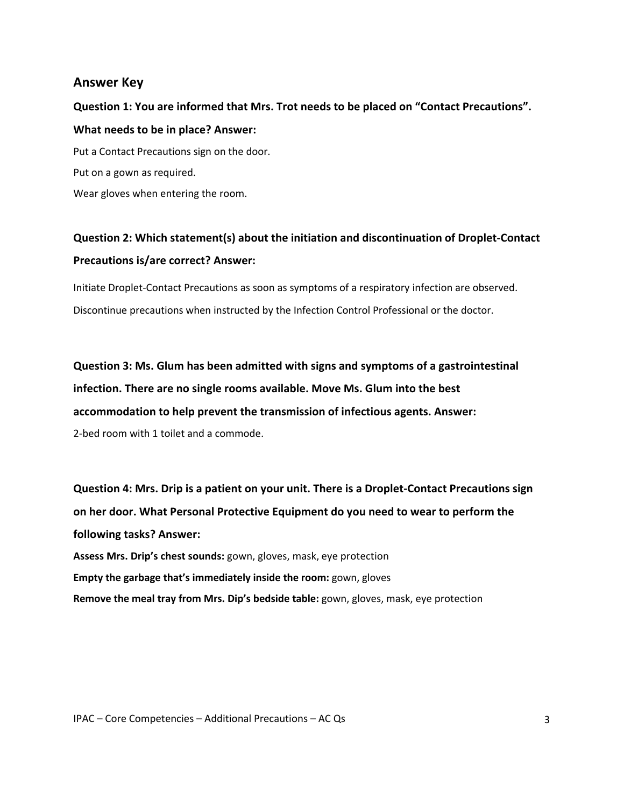## **Answer Key**

**Question 1: You are informed that Mrs. Trot needs to be placed on "Contact Precautions". What needs to be in place? Answer:**  Put a Contact Precautions sign on the door. Put on a gown as required. Wear gloves when entering the room.

**Question 2: Which statement(s) about the initiation and discontinuation of Droplet-Contact** 

#### **Precautions is/are correct? Answer:**

Initiate Droplet-Contact Precautions as soon as symptoms of a respiratory infection are observed. Discontinue precautions when instructed by the Infection Control Professional or the doctor.

**Question 3: Ms. Glum has been admitted with signs and symptoms of a gastrointestinal infection. There are no single rooms available. Move Ms. Glum into the best accommodation to help prevent the transmission of infectious agents. Answer:** 2-bed room with 1 toilet and a commode.

**Question 4: Mrs. Drip is a patient on your unit. There is a Droplet-Contact Precautions sign on her door. What Personal Protective Equipment do you need to wear to perform the following tasks? Answer: Assess Mrs. Drip's chest sounds:** gown, gloves, mask, eye protection **Empty the garbage that's immediately inside the room:** gown, gloves **Remove the meal tray from Mrs. Dip's bedside table:** gown, gloves, mask, eye protection